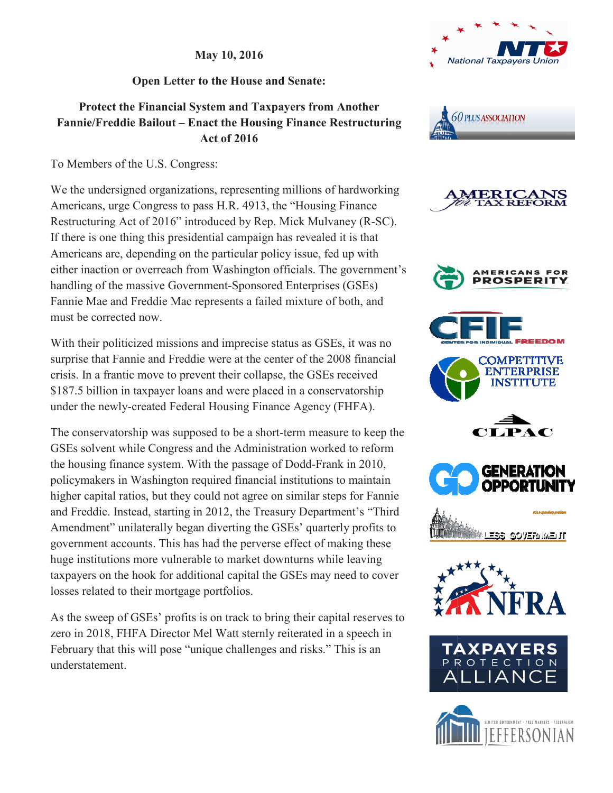**May 10 10, 2016** 

**Open Letter to the House and Senate:** 

## **Protect the Financial System and Taxpayers from Another**  Fannie/Freddie Bailout – Enact the Housing Finance Restructuring **Act of 2016**

To Members of the U.S. Congress:

We the undersigned organizations, representing millions of hardworking Americans, urge Congress to pass H.R. 4913, the "Housing Finance Americans, urge Congress to pass H.R. 4913, the "Housing Finance<br>Restructuring Act of 2016" introduced by Rep. Mick Mulvaney (R-SC). If there is one thing this presidential campaign has revealed it is that Americans are, depending on the particular policy issue, fed up with either inaction or overreach from Washington officials. The government's handling of the massive Government-Sponsored Enterprises (GSEs) Fannie Mae and Freddie Mac represents a failed mixture of both, and must be corrected now.

With their politicized missions and imprecise status as GSEs, it was no surprise that Fannie and Freddie were at the center of the 2008 financial crisis. In a frantic move to prevent their collapse, the GSEs received \$187.5 billion in taxpayer loans and were placed in a conservatorship \$187.5 billion in taxpayer loans and were placed in a conservatorship<br>under the newly-created Federal Housing Finance Agency (FHFA).

The conservatorship was supposed to be a short-term measure to keep the GSEs solvent while Congress and the Administration worked to reform the housing finance system. With the passage of Dodd-Frank in 2010, policymakers in Washington required financial institutions to maintain higher capital ratios, but they could not agree on similar steps for Fannie policymakers in Washington required financial institutions to maintain<br>higher capital ratios, but they could not agree on similar steps for Fannie<br>and Freddie. Instead, starting in 2012, the Treasury Department's "Third Amendment" unilaterally began diverting the GSEs' quarterly profits to government accounts. This has had the perverse effect of making these huge institutions more vulnerable to market downturns while leaving government accounts. This has had the perverse effect of making these huge institutions more vulnerable to market downturns while leaving taxpayers on the hook for additional capital the GSEs may need to cover losses related to their mortgage portfolios.

As the sweep of GSEs' profits is on track to bring their capital reserves to taxpayers on the hook for additional capital the GSEs may need to cove<br>losses related to their mortgage portfolios.<br>As the sweep of GSEs' profits is on track to bring their capital reserves<br>zero in 2018, FHFA Director Mel February that this will pose "unique challenges and risks." This is an February understatement.